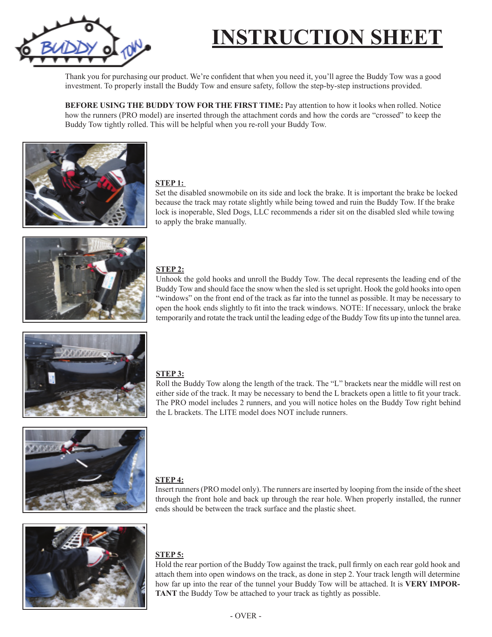

# **INSTRUCTION SHEET**

Thank you for purchasing our product. We're confident that when you need it, you'll agree the Buddy Tow was a good investment. To properly install the Buddy Tow and ensure safety, follow the step-by-step instructions provided.

**BEFORE USING THE BUDDY TOW FOR THE FIRST TIME:** Pay attention to how it looks when rolled. Notice how the runners (PRO model) are inserted through the attachment cords and how the cords are "crossed" to keep the Buddy Tow tightly rolled. This will be helpful when you re-roll your Buddy Tow.



## **STEP 1:**

Set the disabled snowmobile on its side and lock the brake. It is important the brake be locked because the track may rotate slightly while being towed and ruin the Buddy Tow. If the brake lock is inoperable, Sled Dogs, LLC recommends a rider sit on the disabled sled while towing to apply the brake manually.



## **STEP 2:**

Unhook the gold hooks and unroll the Buddy Tow. The decal represents the leading end of the Buddy Tow and should face the snow when the sled is set upright. Hook the gold hooks into open "windows" on the front end of the track as far into the tunnel as possible. It may be necessary to open the hook ends slightly to fit into the track windows. NOTE: If necessary, unlock the brake temporarily and rotate the track until the leading edge of the Buddy Tow fits up into the tunnel area.



## **STEP 3:**

Roll the Buddy Tow along the length of the track. The "L" brackets near the middle will rest on either side of the track. It may be necessary to bend the L brackets open a little to fit your track. The PRO model includes 2 runners, and you will notice holes on the Buddy Tow right behind the L brackets. The LITE model does NOT include runners.





## **STEP 4:**

Insert runners (PRO model only). The runners are inserted by looping from the inside of the sheet through the front hole and back up through the rear hole. When properly installed, the runner ends should be between the track surface and the plastic sheet.

## **STEP 5:**

Hold the rear portion of the Buddy Tow against the track, pull firmly on each rear gold hook and attach them into open windows on the track, as done in step 2. Your track length will determine how far up into the rear of the tunnel your Buddy Tow will be attached. It is **VERY IMPOR-TANT** the Buddy Tow be attached to your track as tightly as possible.